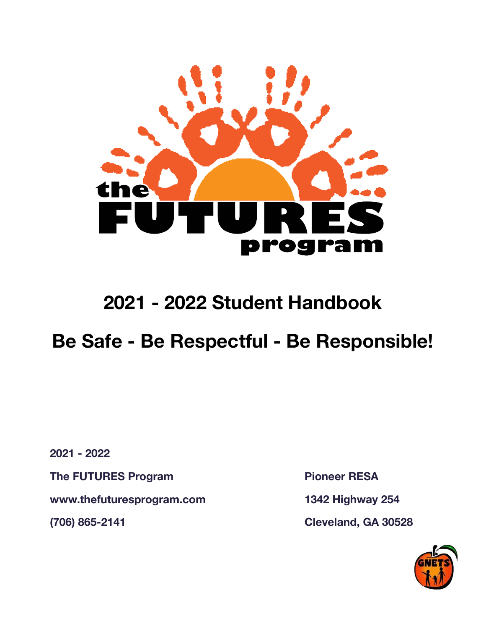

## **2021 - 2022 Student Handbook**

## **Be Safe - Be Respectful - Be Responsible!**

**2021 - 2022**

**The FUTURES Program Pioneer RESA**

**www.thefuturesprogram.com 1342 Highway 254**

**(706) 865-2141 Cleveland, GA 30528**

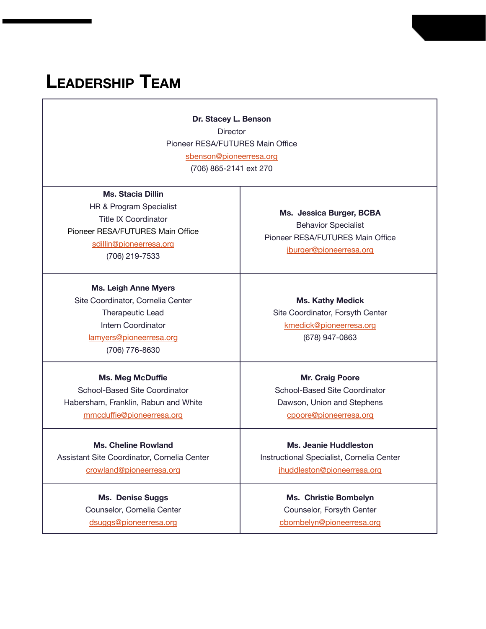## **LEADERSHIP TEAM**

**Dr. Stacey L. Benson Director** Pioneer RESA/FUTURES Main Office [sbenson@pioneerresa.org](mailto:sbenson@pioneerresa.org) (706) 865-2141 ext 270

**Ms. Stacia Dillin** HR & Program Specialist Title IX Coordinator Pioneer RESA/FUTURES Main Office [sdillin@pioneerresa.org](mailto:sdillin@pioneerresa.org)

(706) 219-7533

**Ms. Leigh Anne Myers** Site Coordinator, Cornelia Center

> Therapeutic Lead Intern Coordinator [lamyers@pioneerresa.org](mailto:lamyers@pioneerresa.org) (706) 776-8630

#### **Ms. Meg McDuffie**

School-Based Site Coordinator Habersham, Franklin, Rabun and White [mmcduffie@pioneerresa.org](mailto:mmcduffie@pioneerresa.org)

**Ms. Cheline Rowland** Assistant Site Coordinator, Cornelia Center [crowland@pioneerresa.org](mailto:crowland@pioneerresa.org)

> **Ms. Denise Suggs** Counselor, Cornelia Center [dsuggs@pioneerresa.org](mailto:dsuggs@pioneerresa.org)

**Ms. Jessica Burger, BCBA** Behavior Specialist Pioneer RESA/FUTURES Main Office [jburger@pioneerresa.org](mailto:jburger@pioneerresa.org)

**Ms. Kathy Medick** Site Coordinator, Forsyth Center [kmedick@pioneerresa.org](mailto:kmedick@pioneerresa.org) (678) 947-0863

**Mr. Craig Poore** School-Based Site Coordinator Dawson, Union and Stephens [cpoore@pioneerresa.org](mailto:cpoore@pioneerresa.org)

**Ms. Jeanie Huddleston** Instructional Specialist, Cornelia Center [jhuddleston@pioneerresa.org](mailto:jhuddleston@pioneerresa.org)

> **Ms. Christie Bombelyn** Counselor, Forsyth Center [cbombelyn@pioneerresa.org](mailto:cbombelyn@pioneerresa.org)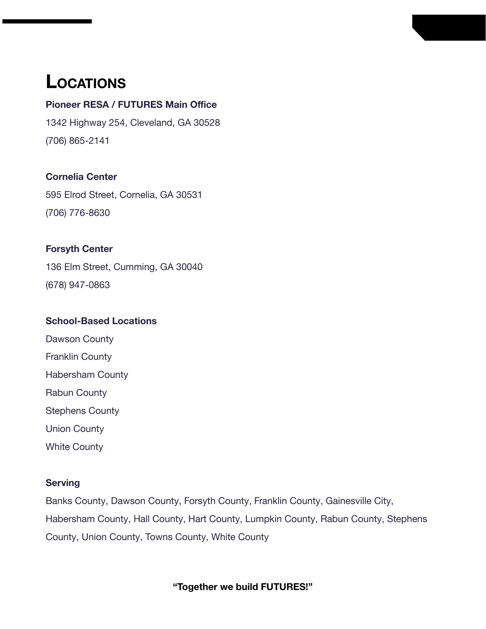## **LOCATIONS**

### **Pioneer RESA / FUTURES Main Office**

1342 Highway 254, Cleveland, GA 30528 (706) 865-2141

### **Cornelia Center**

595 Elrod Street, Cornelia, GA 30531 (706) 776-8630

### **Forsyth Center**

136 Elm Street, Cumming, GA 30040 (678) 947-0863

### **School-Based Locations**

- Dawson County
- Franklin County
- Habersham County
- Rabun County
- Stephens County
- Union County
- White County

#### **Serving**

Banks County, Dawson County, Forsyth County, Franklin County, Gainesville City, Habersham County, Hall County, Hart County, Lumpkin County, Rabun County, Stephens County, Union County, Towns County, White County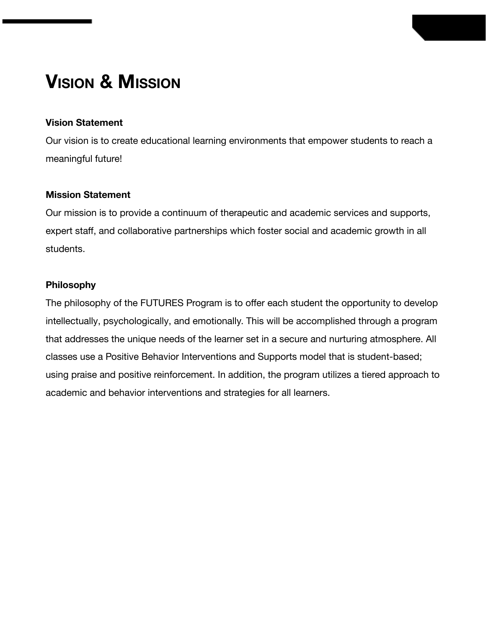## **VISION & MISSION**

#### **Vision Statement**

Our vision is to create educational learning environments that empower students to reach a meaningful future!

#### **Mission Statement**

Our mission is to provide a continuum of therapeutic and academic services and supports, expert staff, and collaborative partnerships which foster social and academic growth in all students.

#### **Philosophy**

The philosophy of the FUTURES Program is to offer each student the opportunity to develop intellectually, psychologically, and emotionally. This will be accomplished through a program that addresses the unique needs of the learner set in a secure and nurturing atmosphere. All classes use a Positive Behavior Interventions and Supports model that is student-based; using praise and positive reinforcement. In addition, the program utilizes a tiered approach to academic and behavior interventions and strategies for all learners.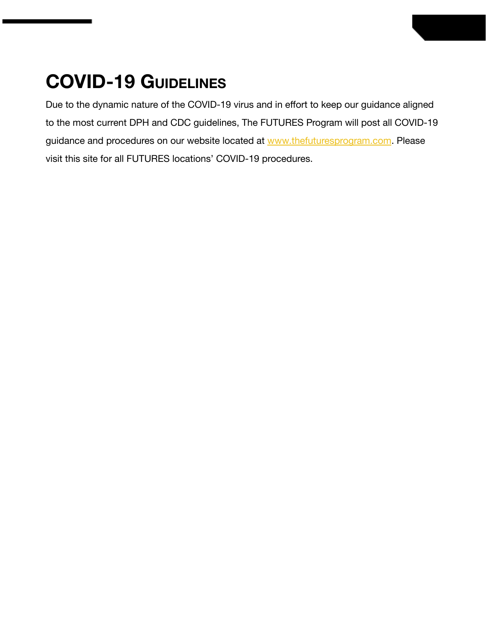## **COVID-19 GUIDELINES**

Due to the dynamic nature of the COVID-19 virus and in effort to keep our guidance aligned to the most current DPH and CDC guidelines, The FUTURES Program will post all COVID-19 guidance and procedures on our website located at [www.thefuturesprogram.com](http://www.thefuturesprogram.com). Please visit this site for all FUTURES locations' COVID-19 procedures.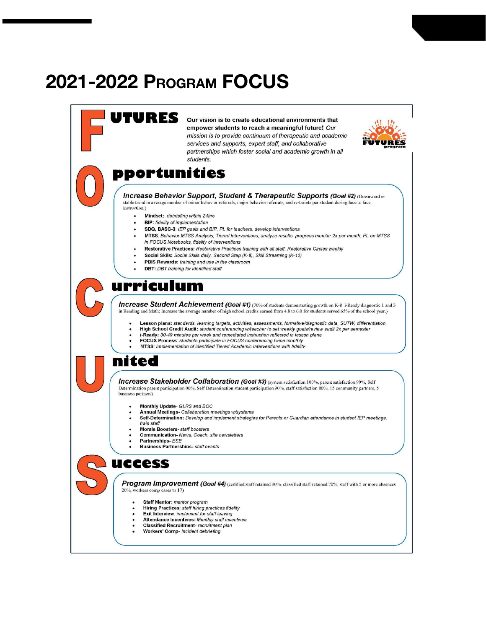## **2021-2022 PROGRAM FOCUS**

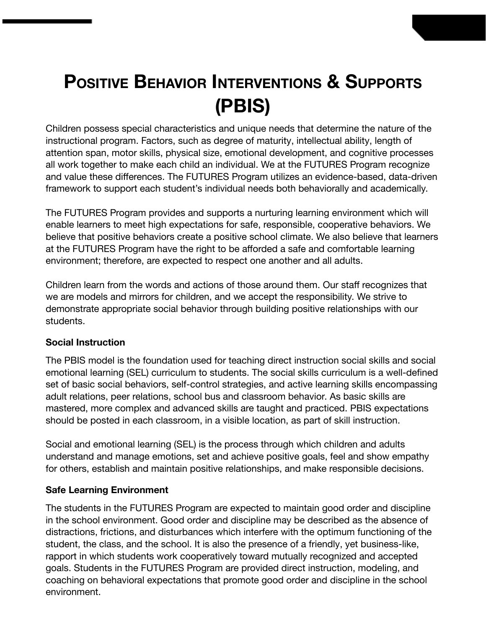# **POSITIVE BEHAVIOR INTERVENTIONS & SUPPORTS (PBIS)**

Children possess special characteristics and unique needs that determine the nature of the instructional program. Factors, such as degree of maturity, intellectual ability, length of attention span, motor skills, physical size, emotional development, and cognitive processes all work together to make each child an individual. We at the FUTURES Program recognize and value these differences. The FUTURES Program utilizes an evidence-based, data-driven framework to support each student's individual needs both behaviorally and academically.

The FUTURES Program provides and supports a nurturing learning environment which will enable learners to meet high expectations for safe, responsible, cooperative behaviors. We believe that positive behaviors create a positive school climate. We also believe that learners at the FUTURES Program have the right to be afforded a safe and comfortable learning environment; therefore, are expected to respect one another and all adults.

Children learn from the words and actions of those around them. Our staff recognizes that we are models and mirrors for children, and we accept the responsibility. We strive to demonstrate appropriate social behavior through building positive relationships with our students.

### **Social Instruction**

The PBIS model is the foundation used for teaching direct instruction social skills and social emotional learning (SEL) curriculum to students. The social skills curriculum is a well-defined set of basic social behaviors, self-control strategies, and active learning skills encompassing adult relations, peer relations, school bus and classroom behavior. As basic skills are mastered, more complex and advanced skills are taught and practiced. PBIS expectations should be posted in each classroom, in a visible location, as part of skill instruction.

Social and emotional learning (SEL) is the process through which children and adults understand and manage emotions, set and achieve positive goals, feel and show empathy for others, establish and maintain positive relationships, and make responsible decisions.

#### **Safe Learning Environment**

The students in the FUTURES Program are expected to maintain good order and discipline in the school environment. Good order and discipline may be described as the absence of distractions, frictions, and disturbances which interfere with the optimum functioning of the student, the class, and the school. It is also the presence of a friendly, yet business-like, rapport in which students work cooperatively toward mutually recognized and accepted goals. Students in the FUTURES Program are provided direct instruction, modeling, and coaching on behavioral expectations that promote good order and discipline in the school environment.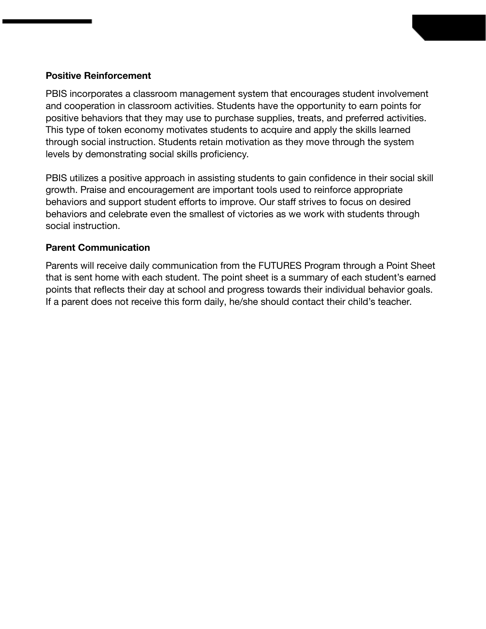#### **Positive Reinforcement**

PBIS incorporates a classroom management system that encourages student involvement and cooperation in classroom activities. Students have the opportunity to earn points for positive behaviors that they may use to purchase supplies, treats, and preferred activities. This type of token economy motivates students to acquire and apply the skills learned through social instruction. Students retain motivation as they move through the system levels by demonstrating social skills proficiency.

PBIS utilizes a positive approach in assisting students to gain confidence in their social skill growth. Praise and encouragement are important tools used to reinforce appropriate behaviors and support student efforts to improve. Our staff strives to focus on desired behaviors and celebrate even the smallest of victories as we work with students through social instruction.

#### **Parent Communication**

Parents will receive daily communication from the FUTURES Program through a Point Sheet that is sent home with each student. The point sheet is a summary of each student's earned points that reflects their day at school and progress towards their individual behavior goals. If a parent does not receive this form daily, he/she should contact their child's teacher.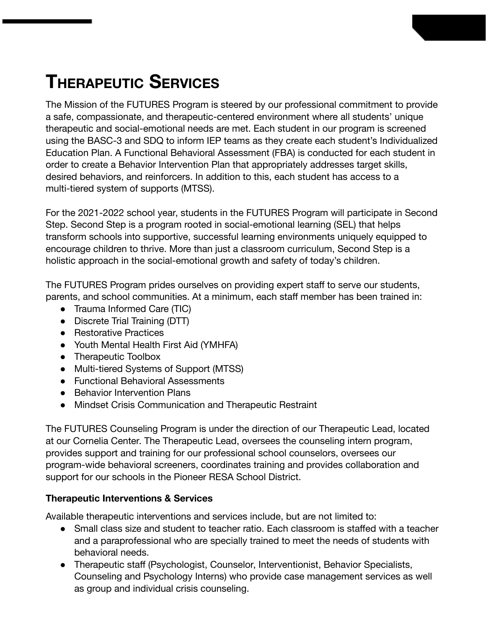## **THERAPEUTIC SERVICES**

The Mission of the FUTURES Program is steered by our professional commitment to provide a safe, compassionate, and therapeutic-centered environment where all students' unique therapeutic and social-emotional needs are met. Each student in our program is screened using the BASC-3 and SDQ to inform IEP teams as they create each student's Individualized Education Plan. A Functional Behavioral Assessment (FBA) is conducted for each student in order to create a Behavior Intervention Plan that appropriately addresses target skills, desired behaviors, and reinforcers. In addition to this, each student has access to a multi-tiered system of supports (MTSS).

For the 2021-2022 school year, students in the FUTURES Program will participate in Second Step. Second Step is a program rooted in social-emotional learning (SEL) that helps transform schools into supportive, successful learning environments uniquely equipped to encourage children to thrive. More than just a classroom curriculum, Second Step is a holistic approach in the social-emotional growth and safety of today's children.

The FUTURES Program prides ourselves on providing expert staff to serve our students, parents, and school communities. At a minimum, each staff member has been trained in:

- Trauma Informed Care (TIC)
- Discrete Trial Training (DTT)
- Restorative Practices
- Youth Mental Health First Aid (YMHFA)
- Therapeutic Toolbox
- Multi-tiered Systems of Support (MTSS)
- Functional Behavioral Assessments
- Behavior Intervention Plans
- Mindset Crisis Communication and Therapeutic Restraint

The FUTURES Counseling Program is under the direction of our Therapeutic Lead, located at our Cornelia Center. The Therapeutic Lead, oversees the counseling intern program, provides support and training for our professional school counselors, oversees our program-wide behavioral screeners, coordinates training and provides collaboration and support for our schools in the Pioneer RESA School District.

### **Therapeutic Interventions & Services**

Available therapeutic interventions and services include, but are not limited to:

- Small class size and student to teacher ratio. Each classroom is staffed with a teacher and a paraprofessional who are specially trained to meet the needs of students with behavioral needs.
- Therapeutic staff (Psychologist, Counselor, Interventionist, Behavior Specialists, Counseling and Psychology Interns) who provide case management services as well as group and individual crisis counseling.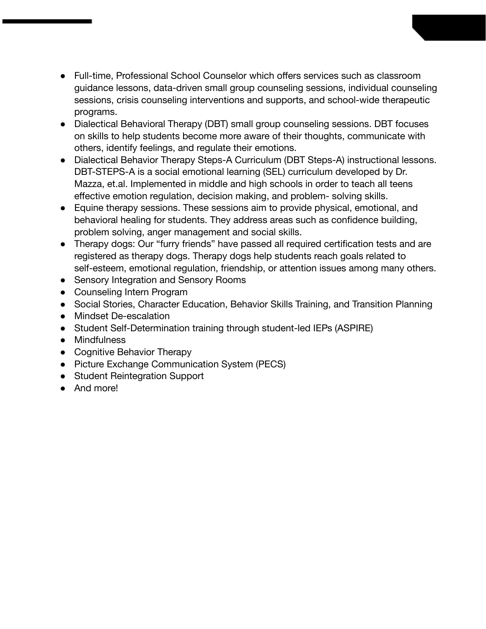- Full-time, Professional School Counselor which offers services such as classroom guidance lessons, data-driven small group counseling sessions, individual counseling sessions, crisis counseling interventions and supports, and school-wide therapeutic programs.
- Dialectical Behavioral Therapy (DBT) small group counseling sessions. DBT focuses on skills to help students become more aware of their thoughts, communicate with others, identify feelings, and regulate their emotions.
- Dialectical Behavior Therapy Steps-A Curriculum (DBT Steps-A) instructional lessons. DBT-STEPS-A is a social emotional learning (SEL) curriculum developed by Dr. Mazza, et.al. Implemented in middle and high schools in order to teach all teens effective emotion regulation, decision making, and problem- solving skills.
- Equine therapy sessions. These sessions aim to provide physical, emotional, and behavioral healing for students. They address areas such as confidence building, problem solving, anger management and social skills.
- Therapy dogs: Our "furry friends" have passed all required certification tests and are registered as therapy dogs. Therapy dogs help students reach goals related to self-esteem, emotional regulation, friendship, or attention issues among many others.
- Sensory Integration and Sensory Rooms
- Counseling Intern Program
- Social Stories, Character Education, Behavior Skills Training, and Transition Planning
- Mindset De-escalation
- Student Self-Determination training through student-led IEPs (ASPIRE)
- Mindfulness
- Cognitive Behavior Therapy
- Picture Exchange Communication System (PECS)
- Student Reintegration Support
- And more!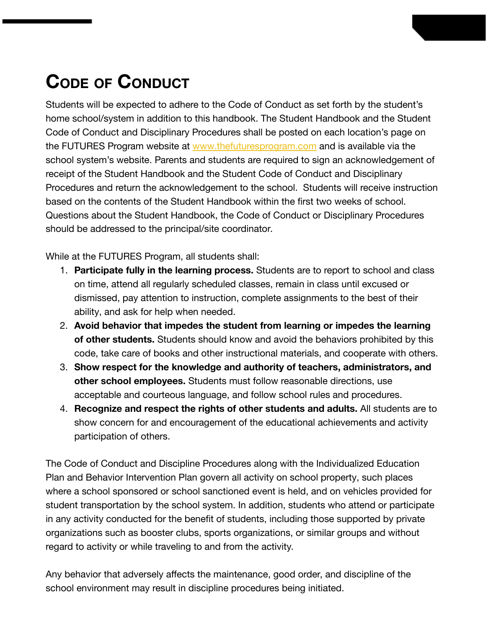# **CODE OF CONDUCT**

Students will be expected to adhere to the Code of Conduct as set forth by the student's home school/system in addition to this handbook. The Student Handbook and the Student Code of Conduct and Disciplinary Procedures shall be posted on each location's page on the FUTURES Program website at [www.thefuturesprogram.com](http://www.thefuturesprogram.com) and is available via the school system's website. Parents and students are required to sign an acknowledgement of receipt of the Student Handbook and the Student Code of Conduct and Disciplinary Procedures and return the acknowledgement to the school. Students will receive instruction based on the contents of the Student Handbook within the first two weeks of school. Questions about the Student Handbook, the Code of Conduct or Disciplinary Procedures should be addressed to the principal/site coordinator.

While at the FUTURES Program, all students shall:

- 1. **Participate fully in the learning process.** Students are to report to school and class on time, attend all regularly scheduled classes, remain in class until excused or dismissed, pay attention to instruction, complete assignments to the best of their ability, and ask for help when needed.
- 2. **Avoid behavior that impedes the student from learning or impedes the learning of other students.** Students should know and avoid the behaviors prohibited by this code, take care of books and other instructional materials, and cooperate with others.
- 3. **Show respect for the knowledge and authority of teachers, administrators, and other school employees.** Students must follow reasonable directions, use acceptable and courteous language, and follow school rules and procedures.
- 4. **Recognize and respect the rights of other students and adults.** All students are to show concern for and encouragement of the educational achievements and activity participation of others.

The Code of Conduct and Discipline Procedures along with the Individualized Education Plan and Behavior Intervention Plan govern all activity on school property, such places where a school sponsored or school sanctioned event is held, and on vehicles provided for student transportation by the school system. In addition, students who attend or participate in any activity conducted for the benefit of students, including those supported by private organizations such as booster clubs, sports organizations, or similar groups and without regard to activity or while traveling to and from the activity.

Any behavior that adversely affects the maintenance, good order, and discipline of the school environment may result in discipline procedures being initiated.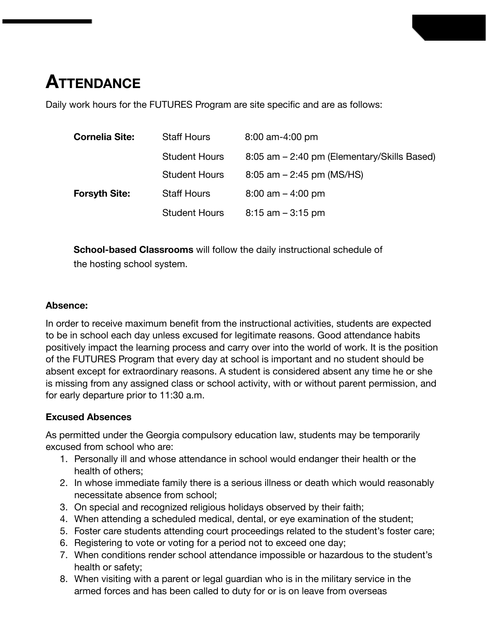## **ATTENDANCE**

Daily work hours for the FUTURES Program are site specific and are as follows:

| <b>Cornelia Site:</b> | <b>Staff Hours</b>   | $8:00$ am-4:00 pm                           |
|-----------------------|----------------------|---------------------------------------------|
|                       | <b>Student Hours</b> | 8:05 am – 2:40 pm (Elementary/Skills Based) |
|                       | <b>Student Hours</b> | $8:05$ am $-2:45$ pm (MS/HS)                |
| <b>Forsyth Site:</b>  | <b>Staff Hours</b>   | $8:00$ am $-4:00$ pm                        |
|                       | <b>Student Hours</b> | $8:15$ am $-3:15$ pm                        |

**School-based Classrooms** will follow the daily instructional schedule of the hosting school system.

#### **Absence:**

In order to receive maximum benefit from the instructional activities, students are expected to be in school each day unless excused for legitimate reasons. Good attendance habits positively impact the learning process and carry over into the world of work. It is the position of the FUTURES Program that every day at school is important and no student should be absent except for extraordinary reasons. A student is considered absent any time he or she is missing from any assigned class or school activity, with or without parent permission, and for early departure prior to 11:30 a.m.

#### **Excused Absences**

As permitted under the Georgia compulsory education law, students may be temporarily excused from school who are:

- 1. Personally ill and whose attendance in school would endanger their health or the health of others;
- 2. In whose immediate family there is a serious illness or death which would reasonably necessitate absence from school;
- 3. On special and recognized religious holidays observed by their faith;
- 4. When attending a scheduled medical, dental, or eye examination of the student;
- 5. Foster care students attending court proceedings related to the student's foster care;
- 6. Registering to vote or voting for a period not to exceed one day;
- 7. When conditions render school attendance impossible or hazardous to the student's health or safety;
- 8. When visiting with a parent or legal guardian who is in the military service in the armed forces and has been called to duty for or is on leave from overseas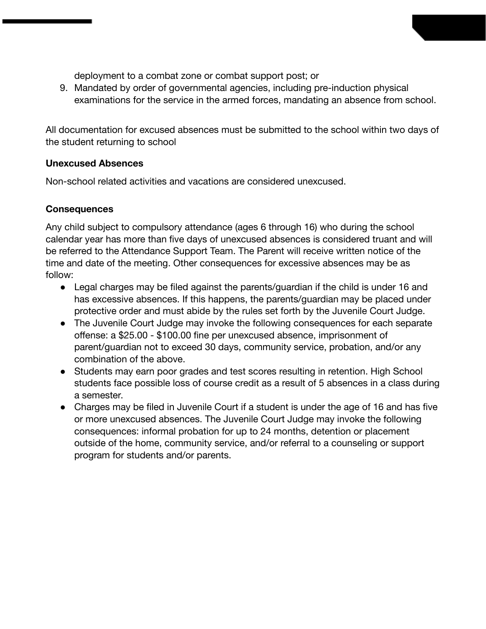deployment to a combat zone or combat support post; or

9. Mandated by order of governmental agencies, including pre-induction physical examinations for the service in the armed forces, mandating an absence from school.

All documentation for excused absences must be submitted to the school within two days of the student returning to school

#### **Unexcused Absences**

Non-school related activities and vacations are considered unexcused.

#### **Consequences**

Any child subject to compulsory attendance (ages 6 through 16) who during the school calendar year has more than five days of unexcused absences is considered truant and will be referred to the Attendance Support Team. The Parent will receive written notice of the time and date of the meeting. Other consequences for excessive absences may be as follow:

- Legal charges may be filed against the parents/guardian if the child is under 16 and has excessive absences. If this happens, the parents/guardian may be placed under protective order and must abide by the rules set forth by the Juvenile Court Judge.
- The Juvenile Court Judge may invoke the following consequences for each separate offense: a \$25.00 - \$100.00 fine per unexcused absence, imprisonment of parent/guardian not to exceed 30 days, community service, probation, and/or any combination of the above.
- Students may earn poor grades and test scores resulting in retention. High School students face possible loss of course credit as a result of 5 absences in a class during a semester.
- Charges may be filed in Juvenile Court if a student is under the age of 16 and has five or more unexcused absences. The Juvenile Court Judge may invoke the following consequences: informal probation for up to 24 months, detention or placement outside of the home, community service, and/or referral to a counseling or support program for students and/or parents.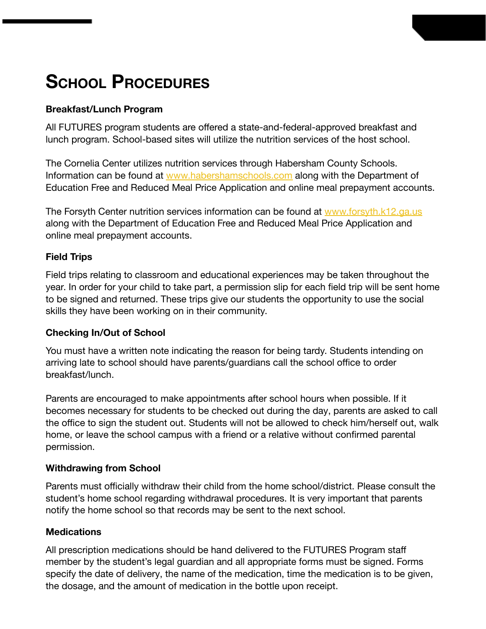## **SCHOOL PROCEDURES**

#### **Breakfast/Lunch Program**

All FUTURES program students are offered a state-and-federal-approved breakfast and lunch program. School-based sites will utilize the nutrition services of the host school.

The Cornelia Center utilizes nutrition services through Habersham County Schools. Information can be found at [www.habershamschools.com](http://www.habershamschools.com) along with the Department of Education Free and Reduced Meal Price Application and online meal prepayment accounts.

The Forsyth Center nutrition services information can be found at [www.forsyth.k12.ga.us](http://www.forsyth.k12.ga.us) along with the Department of Education Free and Reduced Meal Price Application and online meal prepayment accounts.

### **Field Trips**

Field trips relating to classroom and educational experiences may be taken throughout the year. In order for your child to take part, a permission slip for each field trip will be sent home to be signed and returned. These trips give our students the opportunity to use the social skills they have been working on in their community.

#### **Checking In/Out of School**

You must have a written note indicating the reason for being tardy. Students intending on arriving late to school should have parents/guardians call the school office to order breakfast/lunch.

Parents are encouraged to make appointments after school hours when possible. If it becomes necessary for students to be checked out during the day, parents are asked to call the office to sign the student out. Students will not be allowed to check him/herself out, walk home, or leave the school campus with a friend or a relative without confirmed parental permission.

### **Withdrawing from School**

Parents must officially withdraw their child from the home school/district. Please consult the student's home school regarding withdrawal procedures. It is very important that parents notify the home school so that records may be sent to the next school.

#### **Medications**

All prescription medications should be hand delivered to the FUTURES Program staff member by the student's legal guardian and all appropriate forms must be signed. Forms specify the date of delivery, the name of the medication, time the medication is to be given, the dosage, and the amount of medication in the bottle upon receipt.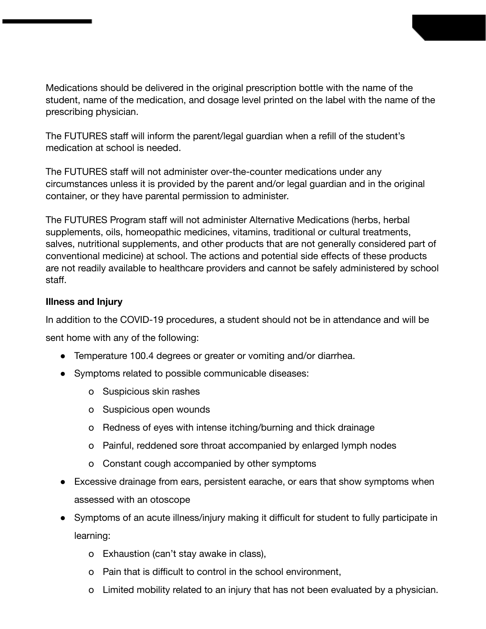Medications should be delivered in the original prescription bottle with the name of the student, name of the medication, and dosage level printed on the label with the name of the prescribing physician.

The FUTURES staff will inform the parent/legal guardian when a refill of the student's medication at school is needed.

The FUTURES staff will not administer over-the-counter medications under any circumstances unless it is provided by the parent and/or legal guardian and in the original container, or they have parental permission to administer.

The FUTURES Program staff will not administer Alternative Medications (herbs, herbal supplements, oils, homeopathic medicines, vitamins, traditional or cultural treatments, salves, nutritional supplements, and other products that are not generally considered part of conventional medicine) at school. The actions and potential side effects of these products are not readily available to healthcare providers and cannot be safely administered by school staff.

#### **Illness and Injury**

In addition to the COVID-19 procedures, a student should not be in attendance and will be

sent home with any of the following:

- Temperature 100.4 degrees or greater or vomiting and/or diarrhea.
- Symptoms related to possible communicable diseases:
	- o Suspicious skin rashes
	- o Suspicious open wounds
	- o Redness of eyes with intense itching/burning and thick drainage
	- o Painful, reddened sore throat accompanied by enlarged lymph nodes
	- o Constant cough accompanied by other symptoms
- Excessive drainage from ears, persistent earache, or ears that show symptoms when assessed with an otoscope
- Symptoms of an acute illness/injury making it difficult for student to fully participate in learning:
	- o Exhaustion (can't stay awake in class),
	- o Pain that is difficult to control in the school environment,
	- o Limited mobility related to an injury that has not been evaluated by a physician.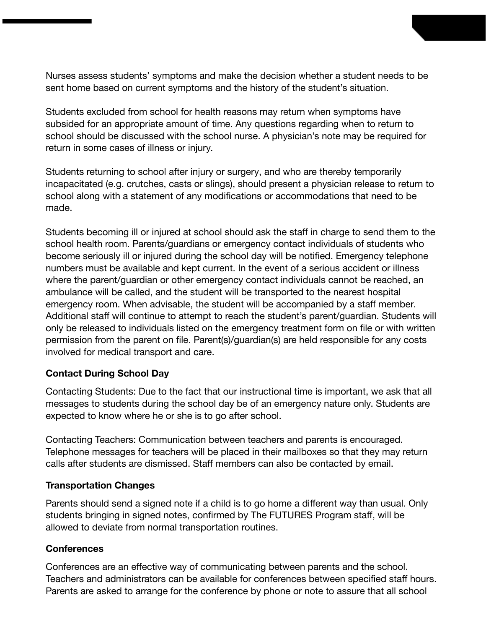Nurses assess students' symptoms and make the decision whether a student needs to be sent home based on current symptoms and the history of the student's situation.

Students excluded from school for health reasons may return when symptoms have subsided for an appropriate amount of time. Any questions regarding when to return to school should be discussed with the school nurse. A physician's note may be required for return in some cases of illness or injury.

Students returning to school after injury or surgery, and who are thereby temporarily incapacitated (e.g. crutches, casts or slings), should present a physician release to return to school along with a statement of any modifications or accommodations that need to be made.

Students becoming ill or injured at school should ask the staff in charge to send them to the school health room. Parents/guardians or emergency contact individuals of students who become seriously ill or injured during the school day will be notified. Emergency telephone numbers must be available and kept current. In the event of a serious accident or illness where the parent/guardian or other emergency contact individuals cannot be reached, an ambulance will be called, and the student will be transported to the nearest hospital emergency room. When advisable, the student will be accompanied by a staff member. Additional staff will continue to attempt to reach the student's parent/guardian. Students will only be released to individuals listed on the emergency treatment form on file or with written permission from the parent on file. Parent(s)/guardian(s) are held responsible for any costs involved for medical transport and care.

### **Contact During School Day**

Contacting Students: Due to the fact that our instructional time is important, we ask that all messages to students during the school day be of an emergency nature only. Students are expected to know where he or she is to go after school.

Contacting Teachers: Communication between teachers and parents is encouraged. Telephone messages for teachers will be placed in their mailboxes so that they may return calls after students are dismissed. Staff members can also be contacted by email.

#### **Transportation Changes**

Parents should send a signed note if a child is to go home a different way than usual. Only students bringing in signed notes, confirmed by The FUTURES Program staff, will be allowed to deviate from normal transportation routines.

#### **Conferences**

Conferences are an effective way of communicating between parents and the school. Teachers and administrators can be available for conferences between specified staff hours. Parents are asked to arrange for the conference by phone or note to assure that all school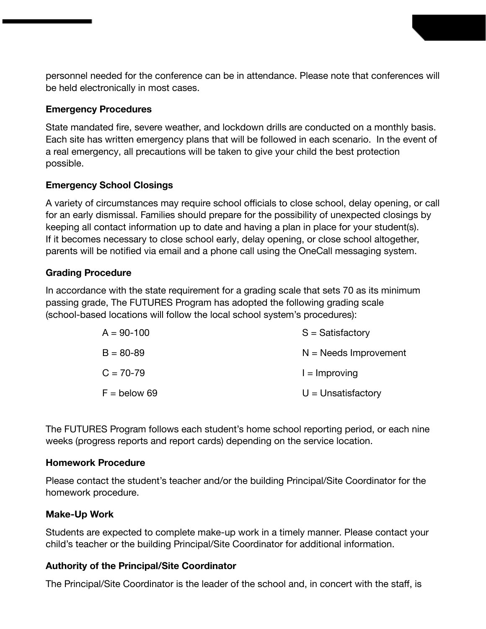personnel needed for the conference can be in attendance. Please note that conferences will be held electronically in most cases.

#### **Emergency Procedures**

State mandated fire, severe weather, and lockdown drills are conducted on a monthly basis. Each site has written emergency plans that will be followed in each scenario. In the event of a real emergency, all precautions will be taken to give your child the best protection possible.

### **Emergency School Closings**

A variety of circumstances may require school officials to close school, delay opening, or call for an early dismissal. Families should prepare for the possibility of unexpected closings by keeping all contact information up to date and having a plan in place for your student(s). If it becomes necessary to close school early, delay opening, or close school altogether, parents will be notified via email and a phone call using the OneCall messaging system.

#### **Grading Procedure**

In accordance with the state requirement for a grading scale that sets 70 as its minimum passing grade, The FUTURES Program has adopted the following grading scale (school-based locations will follow the local school system's procedures):

| $A = 90-100$   | $S =$ Satisfactory      |
|----------------|-------------------------|
| $B = 80 - 89$  | $N =$ Needs Improvement |
| $C = 70 - 79$  | $l =$ Improving         |
| $F =$ below 69 | $U =$ Unsatisfactory    |

The FUTURES Program follows each student's home school reporting period, or each nine weeks (progress reports and report cards) depending on the service location.

#### **Homework Procedure**

Please contact the student's teacher and/or the building Principal/Site Coordinator for the homework procedure.

### **Make-Up Work**

Students are expected to complete make-up work in a timely manner. Please contact your child's teacher or the building Principal/Site Coordinator for additional information.

### **Authority of the Principal/Site Coordinator**

The Principal/Site Coordinator is the leader of the school and, in concert with the staff, is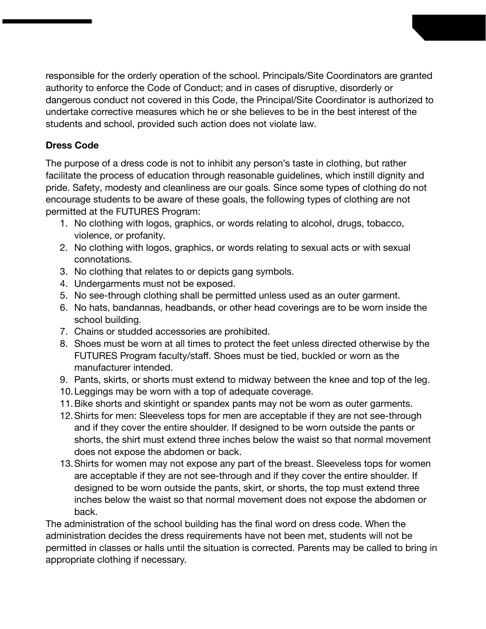responsible for the orderly operation of the school. Principals/Site Coordinators are granted authority to enforce the Code of Conduct; and in cases of disruptive, disorderly or dangerous conduct not covered in this Code, the Principal/Site Coordinator is authorized to undertake corrective measures which he or she believes to be in the best interest of the students and school, provided such action does not violate law.

### **Dress Code**

The purpose of a dress code is not to inhibit any person's taste in clothing, but rather facilitate the process of education through reasonable guidelines, which instill dignity and pride. Safety, modesty and cleanliness are our goals. Since some types of clothing do not encourage students to be aware of these goals, the following types of clothing are not permitted at the FUTURES Program:

- 1. No clothing with logos, graphics, or words relating to alcohol, drugs, tobacco, violence, or profanity.
- 2. No clothing with logos, graphics, or words relating to sexual acts or with sexual connotations.
- 3. No clothing that relates to or depicts gang symbols.
- 4. Undergarments must not be exposed.
- 5. No see-through clothing shall be permitted unless used as an outer garment.
- 6. No hats, bandannas, headbands, or other head coverings are to be worn inside the school building.
- 7. Chains or studded accessories are prohibited.
- 8. Shoes must be worn at all times to protect the feet unless directed otherwise by the FUTURES Program faculty/staff. Shoes must be tied, buckled or worn as the manufacturer intended.
- 9. Pants, skirts, or shorts must extend to midway between the knee and top of the leg.
- 10.Leggings may be worn with a top of adequate coverage.
- 11.Bike shorts and skintight or spandex pants may not be worn as outer garments.
- 12.Shirts for men: Sleeveless tops for men are acceptable if they are not see-through and if they cover the entire shoulder. If designed to be worn outside the pants or shorts, the shirt must extend three inches below the waist so that normal movement does not expose the abdomen or back.
- 13.Shirts for women may not expose any part of the breast. Sleeveless tops for women are acceptable if they are not see-through and if they cover the entire shoulder. If designed to be worn outside the pants, skirt, or shorts, the top must extend three inches below the waist so that normal movement does not expose the abdomen or back.

The administration of the school building has the final word on dress code. When the administration decides the dress requirements have not been met, students will not be permitted in classes or halls until the situation is corrected. Parents may be called to bring in appropriate clothing if necessary.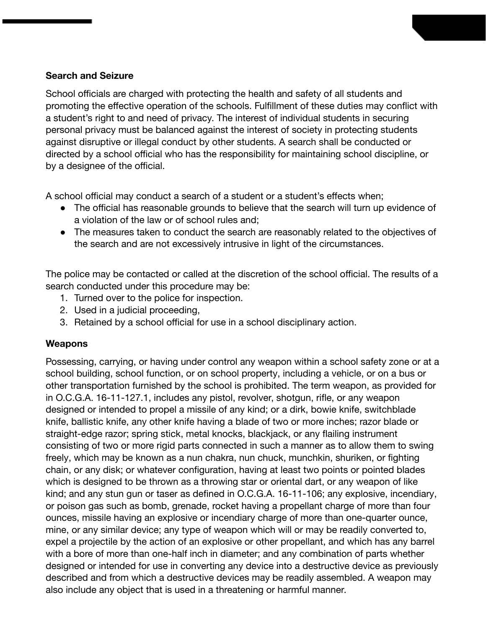#### **Search and Seizure**

School officials are charged with protecting the health and safety of all students and promoting the effective operation of the schools. Fulfillment of these duties may conflict with a student's right to and need of privacy. The interest of individual students in securing personal privacy must be balanced against the interest of society in protecting students against disruptive or illegal conduct by other students. A search shall be conducted or directed by a school official who has the responsibility for maintaining school discipline, or by a designee of the official.

A school official may conduct a search of a student or a student's effects when;

- The official has reasonable grounds to believe that the search will turn up evidence of a violation of the law or of school rules and;
- The measures taken to conduct the search are reasonably related to the objectives of the search and are not excessively intrusive in light of the circumstances.

The police may be contacted or called at the discretion of the school official. The results of a search conducted under this procedure may be:

- 1. Turned over to the police for inspection.
- 2. Used in a judicial proceeding,
- 3. Retained by a school official for use in a school disciplinary action.

### **Weapons**

Possessing, carrying, or having under control any weapon within a school safety zone or at a school building, school function, or on school property, including a vehicle, or on a bus or other transportation furnished by the school is prohibited. The term weapon, as provided for in O.C.G.A. 16-11-127.1, includes any pistol, revolver, shotgun, rifle, or any weapon designed or intended to propel a missile of any kind; or a dirk, bowie knife, switchblade knife, ballistic knife, any other knife having a blade of two or more inches; razor blade or straight-edge razor; spring stick, metal knocks, blackjack, or any flailing instrument consisting of two or more rigid parts connected in such a manner as to allow them to swing freely, which may be known as a nun chakra, nun chuck, munchkin, shuriken, or fighting chain, or any disk; or whatever configuration, having at least two points or pointed blades which is designed to be thrown as a throwing star or oriental dart, or any weapon of like kind; and any stun gun or taser as defined in O.C.G.A. 16-11-106; any explosive, incendiary, or poison gas such as bomb, grenade, rocket having a propellant charge of more than four ounces, missile having an explosive or incendiary charge of more than one-quarter ounce, mine, or any similar device; any type of weapon which will or may be readily converted to, expel a projectile by the action of an explosive or other propellant, and which has any barrel with a bore of more than one-half inch in diameter; and any combination of parts whether designed or intended for use in converting any device into a destructive device as previously described and from which a destructive devices may be readily assembled. A weapon may also include any object that is used in a threatening or harmful manner.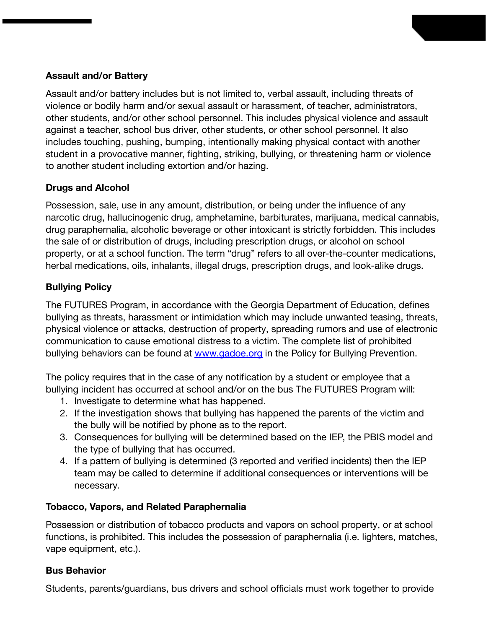#### **Assault and/or Battery**

Assault and/or battery includes but is not limited to, verbal assault, including threats of violence or bodily harm and/or sexual assault or harassment, of teacher, administrators, other students, and/or other school personnel. This includes physical violence and assault against a teacher, school bus driver, other students, or other school personnel. It also includes touching, pushing, bumping, intentionally making physical contact with another student in a provocative manner, fighting, striking, bullying, or threatening harm or violence to another student including extortion and/or hazing.

### **Drugs and Alcohol**

Possession, sale, use in any amount, distribution, or being under the influence of any narcotic drug, hallucinogenic drug, amphetamine, barbiturates, marijuana, medical cannabis, drug paraphernalia, alcoholic beverage or other intoxicant is strictly forbidden. This includes the sale of or distribution of drugs, including prescription drugs, or alcohol on school property, or at a school function. The term "drug" refers to all over-the-counter medications, herbal medications, oils, inhalants, illegal drugs, prescription drugs, and look-alike drugs.

### **Bullying Policy**

The FUTURES Program, in accordance with the Georgia Department of Education, defines bullying as threats, harassment or intimidation which may include unwanted teasing, threats, physical violence or attacks, destruction of property, spreading rumors and use of electronic communication to cause emotional distress to a victim. The complete list of prohibited bullying behaviors can be found at [www.gadoe.org](http://www.gadoe.org/) in the Policy for Bullying Prevention.

The policy requires that in the case of any notification by a student or employee that a bullying incident has occurred at school and/or on the bus The FUTURES Program will:

- 1. Investigate to determine what has happened.
- 2. If the investigation shows that bullying has happened the parents of the victim and the bully will be notified by phone as to the report.
- 3. Consequences for bullying will be determined based on the IEP, the PBIS model and the type of bullying that has occurred.
- 4. If a pattern of bullying is determined (3 reported and verified incidents) then the IEP team may be called to determine if additional consequences or interventions will be necessary.

### **Tobacco, Vapors, and Related Paraphernalia**

Possession or distribution of tobacco products and vapors on school property, or at school functions, is prohibited. This includes the possession of paraphernalia (i.e. lighters, matches, vape equipment, etc.).

### **Bus Behavior**

Students, parents/guardians, bus drivers and school officials must work together to provide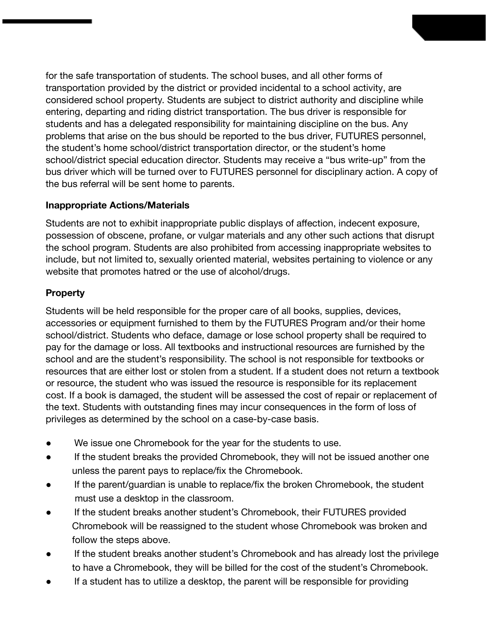for the safe transportation of students. The school buses, and all other forms of transportation provided by the district or provided incidental to a school activity, are considered school property. Students are subject to district authority and discipline while entering, departing and riding district transportation. The bus driver is responsible for students and has a delegated responsibility for maintaining discipline on the bus. Any problems that arise on the bus should be reported to the bus driver, FUTURES personnel, the student's home school/district transportation director, or the student's home school/district special education director. Students may receive a "bus write-up" from the bus driver which will be turned over to FUTURES personnel for disciplinary action. A copy of the bus referral will be sent home to parents.

### **Inappropriate Actions/Materials**

Students are not to exhibit inappropriate public displays of affection, indecent exposure, possession of obscene, profane, or vulgar materials and any other such actions that disrupt the school program. Students are also prohibited from accessing inappropriate websites to include, but not limited to, sexually oriented material, websites pertaining to violence or any website that promotes hatred or the use of alcohol/drugs.

### **Property**

Students will be held responsible for the proper care of all books, supplies, devices, accessories or equipment furnished to them by the FUTURES Program and/or their home school/district. Students who deface, damage or lose school property shall be required to pay for the damage or loss. All textbooks and instructional resources are furnished by the school and are the student's responsibility. The school is not responsible for textbooks or resources that are either lost or stolen from a student. If a student does not return a textbook or resource, the student who was issued the resource is responsible for its replacement cost. If a book is damaged, the student will be assessed the cost of repair or replacement of the text. Students with outstanding fines may incur consequences in the form of loss of privileges as determined by the school on a case-by-case basis.

- We issue one Chromebook for the year for the students to use.
- If the student breaks the provided Chromebook, they will not be issued another one unless the parent pays to replace/fix the Chromebook.
- If the parent/guardian is unable to replace/fix the broken Chromebook, the student must use a desktop in the classroom.
- If the student breaks another student's Chromebook, their FUTURES provided Chromebook will be reassigned to the student whose Chromebook was broken and follow the steps above.
- If the student breaks another student's Chromebook and has already lost the privilege to have a Chromebook, they will be billed for the cost of the student's Chromebook.
- If a student has to utilize a desktop, the parent will be responsible for providing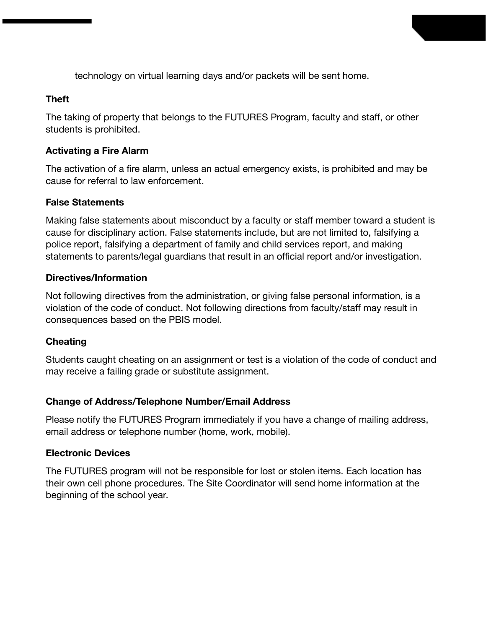technology on virtual learning days and/or packets will be sent home.

#### **Theft**

The taking of property that belongs to the FUTURES Program, faculty and staff, or other students is prohibited.

#### **Activating a Fire Alarm**

The activation of a fire alarm, unless an actual emergency exists, is prohibited and may be cause for referral to law enforcement.

#### **False Statements**

Making false statements about misconduct by a faculty or staff member toward a student is cause for disciplinary action. False statements include, but are not limited to, falsifying a police report, falsifying a department of family and child services report, and making statements to parents/legal guardians that result in an official report and/or investigation.

#### **Directives/Information**

Not following directives from the administration, or giving false personal information, is a violation of the code of conduct. Not following directions from faculty/staff may result in consequences based on the PBIS model.

### **Cheating**

Students caught cheating on an assignment or test is a violation of the code of conduct and may receive a failing grade or substitute assignment.

### **Change of Address/Telephone Number/Email Address**

Please notify the FUTURES Program immediately if you have a change of mailing address, email address or telephone number (home, work, mobile).

#### **Electronic Devices**

The FUTURES program will not be responsible for lost or stolen items. Each location has their own cell phone procedures. The Site Coordinator will send home information at the beginning of the school year.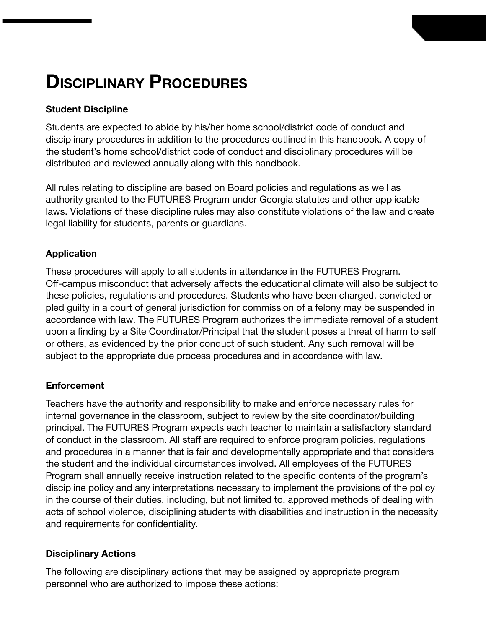## **DISCIPLINARY PROCEDURES**

### **Student Discipline**

Students are expected to abide by his/her home school/district code of conduct and disciplinary procedures in addition to the procedures outlined in this handbook. A copy of the student's home school/district code of conduct and disciplinary procedures will be distributed and reviewed annually along with this handbook.

All rules relating to discipline are based on Board policies and regulations as well as authority granted to the FUTURES Program under Georgia statutes and other applicable laws. Violations of these discipline rules may also constitute violations of the law and create legal liability for students, parents or guardians.

### **Application**

These procedures will apply to all students in attendance in the FUTURES Program. Off-campus misconduct that adversely affects the educational climate will also be subject to these policies, regulations and procedures. Students who have been charged, convicted or pled guilty in a court of general jurisdiction for commission of a felony may be suspended in accordance with law. The FUTURES Program authorizes the immediate removal of a student upon a finding by a Site Coordinator/Principal that the student poses a threat of harm to self or others, as evidenced by the prior conduct of such student. Any such removal will be subject to the appropriate due process procedures and in accordance with law.

### **Enforcement**

Teachers have the authority and responsibility to make and enforce necessary rules for internal governance in the classroom, subject to review by the site coordinator/building principal. The FUTURES Program expects each teacher to maintain a satisfactory standard of conduct in the classroom. All staff are required to enforce program policies, regulations and procedures in a manner that is fair and developmentally appropriate and that considers the student and the individual circumstances involved. All employees of the FUTURES Program shall annually receive instruction related to the specific contents of the program's discipline policy and any interpretations necessary to implement the provisions of the policy in the course of their duties, including, but not limited to, approved methods of dealing with acts of school violence, disciplining students with disabilities and instruction in the necessity and requirements for confidentiality.

### **Disciplinary Actions**

The following are disciplinary actions that may be assigned by appropriate program personnel who are authorized to impose these actions: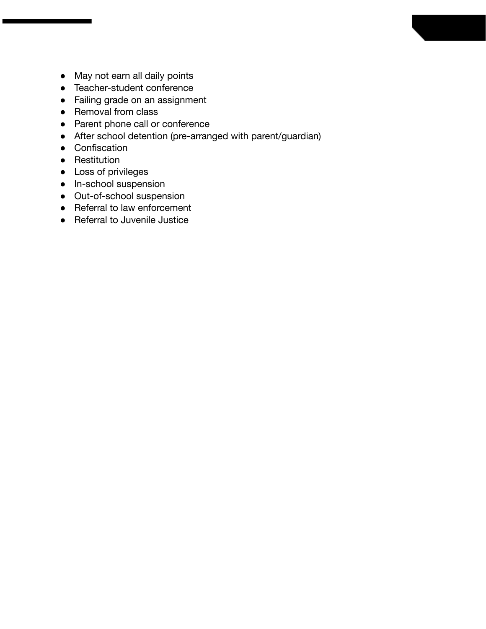- May not earn all daily points
- Teacher-student conference
- Failing grade on an assignment
- Removal from class
- Parent phone call or conference
- After school detention (pre-arranged with parent/guardian)
- Confiscation
- Restitution
- Loss of privileges
- In-school suspension
- Out-of-school suspension
- Referral to law enforcement
- Referral to Juvenile Justice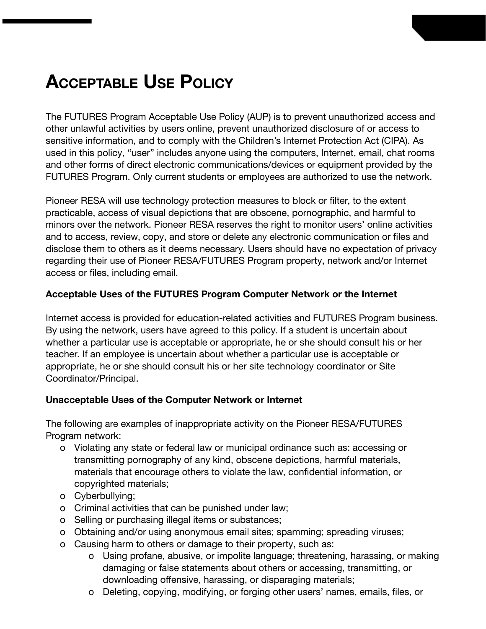## **ACCEPTABLE USE POLICY**

The FUTURES Program Acceptable Use Policy (AUP) is to prevent unauthorized access and other unlawful activities by users online, prevent unauthorized disclosure of or access to sensitive information, and to comply with the Children's Internet Protection Act (CIPA). As used in this policy, "user" includes anyone using the computers, Internet, email, chat rooms and other forms of direct electronic communications/devices or equipment provided by the FUTURES Program. Only current students or employees are authorized to use the network.

Pioneer RESA will use technology protection measures to block or filter, to the extent practicable, access of visual depictions that are obscene, pornographic, and harmful to minors over the network. Pioneer RESA reserves the right to monitor users' online activities and to access, review, copy, and store or delete any electronic communication or files and disclose them to others as it deems necessary. Users should have no expectation of privacy regarding their use of Pioneer RESA/FUTURES Program property, network and/or Internet access or files, including email.

#### **Acceptable Uses of the FUTURES Program Computer Network or the Internet**

Internet access is provided for education-related activities and FUTURES Program business. By using the network, users have agreed to this policy. If a student is uncertain about whether a particular use is acceptable or appropriate, he or she should consult his or her teacher. If an employee is uncertain about whether a particular use is acceptable or appropriate, he or she should consult his or her site technology coordinator or Site Coordinator/Principal.

#### **Unacceptable Uses of the Computer Network or Internet**

The following are examples of inappropriate activity on the Pioneer RESA/FUTURES Program network:

- o Violating any state or federal law or municipal ordinance such as: accessing or transmitting pornography of any kind, obscene depictions, harmful materials, materials that encourage others to violate the law, confidential information, or copyrighted materials;
- o Cyberbullying;
- o Criminal activities that can be punished under law;
- o Selling or purchasing illegal items or substances;
- o Obtaining and/or using anonymous email sites; spamming; spreading viruses;
- o Causing harm to others or damage to their property, such as:
	- o Using profane, abusive, or impolite language; threatening, harassing, or making damaging or false statements about others or accessing, transmitting, or downloading offensive, harassing, or disparaging materials;
	- o Deleting, copying, modifying, or forging other users' names, emails, files, or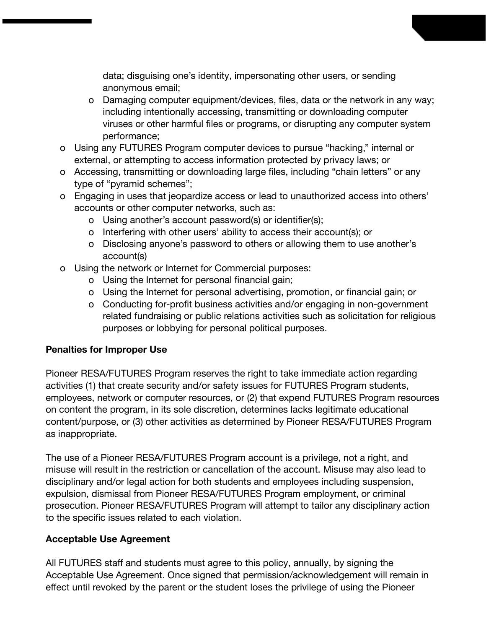data; disguising one's identity, impersonating other users, or sending anonymous email;

- o Damaging computer equipment/devices, files, data or the network in any way; including intentionally accessing, transmitting or downloading computer viruses or other harmful files or programs, or disrupting any computer system performance;
- o Using any FUTURES Program computer devices to pursue "hacking," internal or external, or attempting to access information protected by privacy laws; or
- o Accessing, transmitting or downloading large files, including "chain letters" or any type of "pyramid schemes";
- o Engaging in uses that jeopardize access or lead to unauthorized access into others' accounts or other computer networks, such as:
	- o Using another's account password(s) or identifier(s);
	- o Interfering with other users' ability to access their account(s); or
	- o Disclosing anyone's password to others or allowing them to use another's account(s)
- o Using the network or Internet for Commercial purposes:
	- o Using the Internet for personal financial gain;
	- o Using the Internet for personal advertising, promotion, or financial gain; or
	- o Conducting for-profit business activities and/or engaging in non-government related fundraising or public relations activities such as solicitation for religious purposes or lobbying for personal political purposes.

### **Penalties for Improper Use**

Pioneer RESA/FUTURES Program reserves the right to take immediate action regarding activities (1) that create security and/or safety issues for FUTURES Program students, employees, network or computer resources, or (2) that expend FUTURES Program resources on content the program, in its sole discretion, determines lacks legitimate educational content/purpose, or (3) other activities as determined by Pioneer RESA/FUTURES Program as inappropriate.

The use of a Pioneer RESA/FUTURES Program account is a privilege, not a right, and misuse will result in the restriction or cancellation of the account. Misuse may also lead to disciplinary and/or legal action for both students and employees including suspension, expulsion, dismissal from Pioneer RESA/FUTURES Program employment, or criminal prosecution. Pioneer RESA/FUTURES Program will attempt to tailor any disciplinary action to the specific issues related to each violation.

### **Acceptable Use Agreement**

All FUTURES staff and students must agree to this policy, annually, by signing the Acceptable Use Agreement. Once signed that permission/acknowledgement will remain in effect until revoked by the parent or the student loses the privilege of using the Pioneer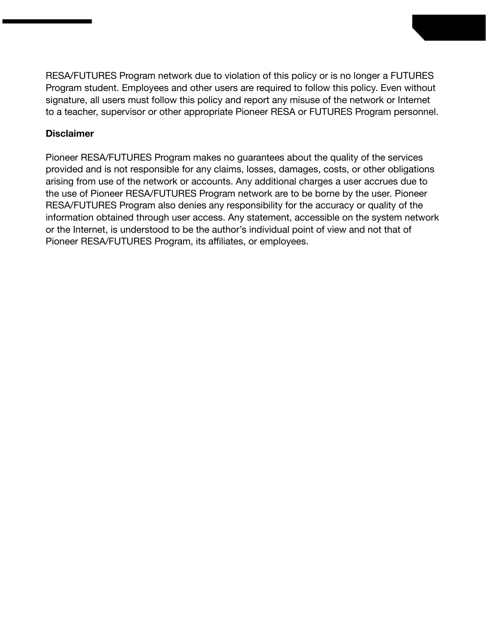RESA/FUTURES Program network due to violation of this policy or is no longer a FUTURES Program student. Employees and other users are required to follow this policy. Even without signature, all users must follow this policy and report any misuse of the network or Internet to a teacher, supervisor or other appropriate Pioneer RESA or FUTURES Program personnel.

#### **Disclaimer**

Pioneer RESA/FUTURES Program makes no guarantees about the quality of the services provided and is not responsible for any claims, losses, damages, costs, or other obligations arising from use of the network or accounts. Any additional charges a user accrues due to the use of Pioneer RESA/FUTURES Program network are to be borne by the user. Pioneer RESA/FUTURES Program also denies any responsibility for the accuracy or quality of the information obtained through user access. Any statement, accessible on the system network or the Internet, is understood to be the author's individual point of view and not that of Pioneer RESA/FUTURES Program, its affiliates, or employees.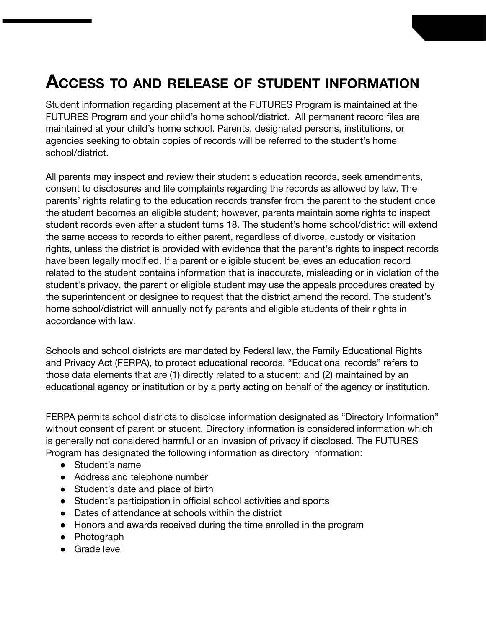## **ACCESS TO AND RELEASE OF STUDENT INFORMATION**

Student information regarding placement at the FUTURES Program is maintained at the FUTURES Program and your child's home school/district. All permanent record files are maintained at your child's home school. Parents, designated persons, institutions, or agencies seeking to obtain copies of records will be referred to the student's home school/district.

All parents may inspect and review their student's education records, seek amendments, consent to disclosures and file complaints regarding the records as allowed by law. The parents' rights relating to the education records transfer from the parent to the student once the student becomes an eligible student; however, parents maintain some rights to inspect student records even after a student turns 18. The student's home school/district will extend the same access to records to either parent, regardless of divorce, custody or visitation rights, unless the district is provided with evidence that the parent's rights to inspect records have been legally modified. If a parent or eligible student believes an education record related to the student contains information that is inaccurate, misleading or in violation of the student's privacy, the parent or eligible student may use the appeals procedures created by the superintendent or designee to request that the district amend the record. The student's home school/district will annually notify parents and eligible students of their rights in accordance with law.

Schools and school districts are mandated by Federal law, the Family Educational Rights and Privacy Act (FERPA), to protect educational records. "Educational records" refers to those data elements that are (1) directly related to a student; and (2) maintained by an educational agency or institution or by a party acting on behalf of the agency or institution.

FERPA permits school districts to disclose information designated as "Directory Information" without consent of parent or student. Directory information is considered information which is generally not considered harmful or an invasion of privacy if disclosed. The FUTURES Program has designated the following information as directory information:

- Student's name
- Address and telephone number
- Student's date and place of birth
- Student's participation in official school activities and sports
- Dates of attendance at schools within the district
- Honors and awards received during the time enrolled in the program
- Photograph
- Grade level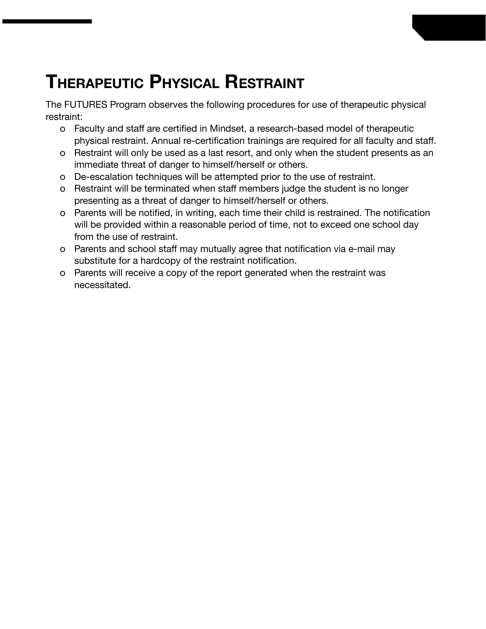## **THERAPEUTIC PHYSICAL RESTRAINT**

The FUTURES Program observes the following procedures for use of therapeutic physical restraint:

- o Faculty and staff are certified in Mindset, a research-based model of therapeutic physical restraint. Annual re-certification trainings are required for all faculty and staff.
- o Restraint will only be used as a last resort, and only when the student presents as an immediate threat of danger to himself/herself or others.
- o De-escalation techniques will be attempted prior to the use of restraint.
- o Restraint will be terminated when staff members judge the student is no longer presenting as a threat of danger to himself/herself or others.
- o Parents will be notified, in writing, each time their child is restrained. The notification will be provided within a reasonable period of time, not to exceed one school day from the use of restraint.
- o Parents and school staff may mutually agree that notification via e-mail may substitute for a hardcopy of the restraint notification.
- o Parents will receive a copy of the report generated when the restraint was necessitated.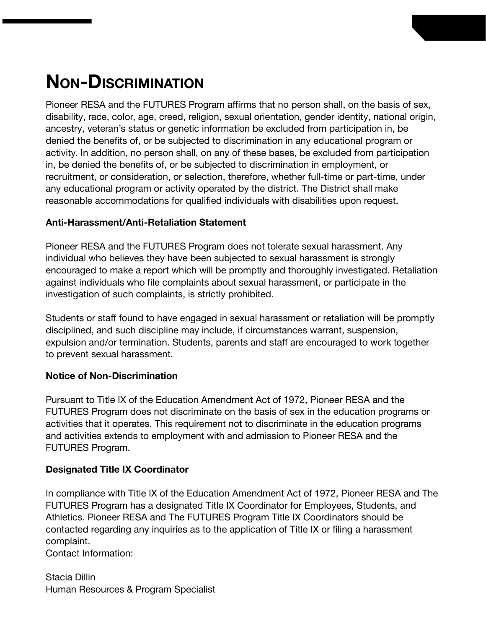## **NON-DISCRIMINATION**

Pioneer RESA and the FUTURES Program affirms that no person shall, on the basis of sex, disability, race, color, age, creed, religion, sexual orientation, gender identity, national origin, ancestry, veteran's status or genetic information be excluded from participation in, be denied the benefits of, or be subjected to discrimination in any educational program or activity. In addition, no person shall, on any of these bases, be excluded from participation in, be denied the benefits of, or be subjected to discrimination in employment, or recruitment, or consideration, or selection, therefore, whether full-time or part-time, under any educational program or activity operated by the district. The District shall make reasonable accommodations for qualified individuals with disabilities upon request.

### **Anti-Harassment/Anti-Retaliation Statement**

Pioneer RESA and the FUTURES Program does not tolerate sexual harassment. Any individual who believes they have been subjected to sexual harassment is strongly encouraged to make a report which will be promptly and thoroughly investigated. Retaliation against individuals who file complaints about sexual harassment, or participate in the investigation of such complaints, is strictly prohibited.

Students or staff found to have engaged in sexual harassment or retaliation will be promptly disciplined, and such discipline may include, if circumstances warrant, suspension, expulsion and/or termination. Students, parents and staff are encouraged to work together to prevent sexual harassment.

### **Notice of Non-Discrimination**

Pursuant to Title IX of the Education Amendment Act of 1972, Pioneer RESA and the FUTURES Program does not discriminate on the basis of sex in the education programs or activities that it operates. This requirement not to discriminate in the education programs and activities extends to employment with and admission to Pioneer RESA and the FUTURES Program.

### **Designated Title IX Coordinator**

In compliance with Title IX of the Education Amendment Act of 1972, Pioneer RESA and The FUTURES Program has a designated Title IX Coordinator for Employees, Students, and Athletics. Pioneer RESA and The FUTURES Program Title IX Coordinators should be contacted regarding any inquiries as to the application of Title IX or filing a harassment complaint.

Contact Information:

Stacia Dillin Human Resources & Program Specialist